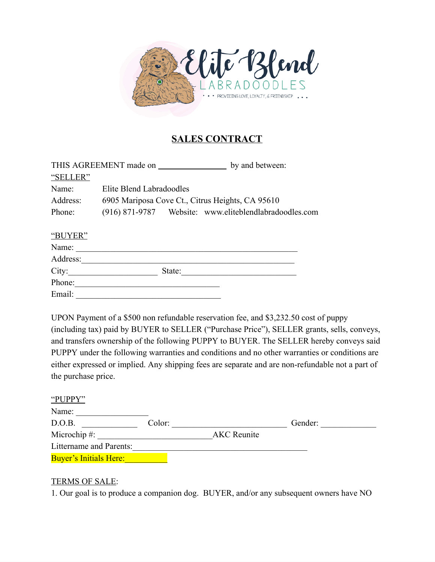

# **SALES CONTRACT**

|          | THIS AGREEMENT made on                                 | by and between: |
|----------|--------------------------------------------------------|-----------------|
| "SELLER" |                                                        |                 |
| Name:    | Elite Blend Labradoodles                               |                 |
| Address: | 6905 Mariposa Cove Ct., Citrus Heights, CA 95610       |                 |
| Phone:   | (916) 871-9787 Website: www.eliteblendlabradoodles.com |                 |

#### "BUYER"

| Name:    |        |  |
|----------|--------|--|
| Address: |        |  |
| City:    | State: |  |
| Phone:   |        |  |
| Email:   |        |  |

UPON Payment of a \$500 non refundable reservation fee, and \$3,232.50 cost of puppy (including tax) paid by BUYER to SELLER ("Purchase Price"), SELLER grants, sells, conveys, and transfers ownership of the following PUPPY to BUYER. The SELLER hereby conveys said PUPPY under the following warranties and conditions and no other warranties or conditions are either expressed or implied. Any shipping fees are separate and are non-refundable not a part of the purchase price.

| "PUPPY"                       |        |                    |         |
|-------------------------------|--------|--------------------|---------|
| Name:                         |        |                    |         |
| D.O.B.                        | Color: |                    | Gender: |
| Microchip $#$ :               |        | <b>AKC</b> Reunite |         |
| Littername and Parents:       |        |                    |         |
| <b>Buyer's Initials Here:</b> |        |                    |         |

#### **TERMS OF SALE:**

1. Our goal is to produce a companion dog. BUYER, and/or any subsequent owners have NO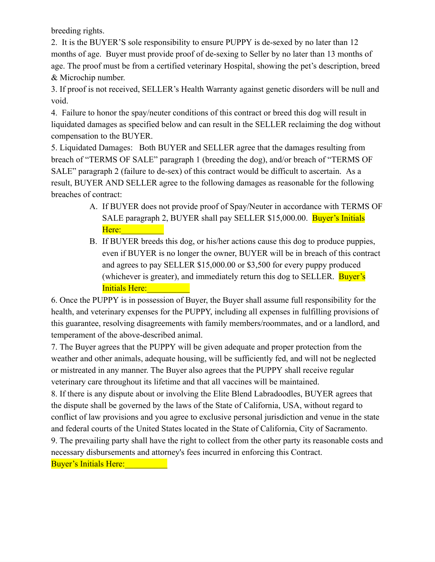breeding rights.

2. It is the BUYER'S sole responsibility to ensure PUPPY is de-sexed by no later than 12 months of age. Buyer must provide proof of de-sexing to Seller by no later than 13 months of age. The proof must be from a certified veterinary Hospital, showing the pet's description, breed & Microchip number.

3. If proof is not received, SELLER's Health Warranty against genetic disorders will be null and void.

4. Failure to honor the spay/neuter conditions of this contract or breed this dog will result in liquidated damages as specified below and can result in the SELLER reclaiming the dog without compensation to the BUYER.

5. Liquidated Damages: Both BUYER and SELLER agree that the damages resulting from breach of "TERMS OF SALE" paragraph 1 (breeding the dog), and/or breach of "TERMS OF SALE" paragraph 2 (failure to de-sex) of this contract would be difficult to ascertain. As a result, BUYER AND SELLER agree to the following damages as reasonable for the following breaches of contract:

- A. If BUYER does not provide proof of Spay/Neuter in accordance with TERMS OF SALE paragraph 2, BUYER shall pay SELLER \$15,000.00. Buyer's Initials Here: \_\_\_\_\_\_\_\_\_\_
- B. If BUYER breeds this dog, or his/her actions cause this dog to produce puppies, even if BUYER is no longer the owner, BUYER will be in breach of this contract and agrees to pay SELLER \$15,000.00 or \$3,500 for every puppy produced (whichever is greater), and immediately return this dog to SELLER. Buyer's Initials Here:

6. Once the PUPPY is in possession of Buyer, the Buyer shall assume full responsibility for the health, and veterinary expenses for the PUPPY, including all expenses in fulfilling provisions of this guarantee, resolving disagreements with family members/roommates, and or a landlord, and temperament of the above-described animal.

7. The Buyer agrees that the PUPPY will be given adequate and proper protection from the weather and other animals, adequate housing, will be sufficiently fed, and will not be neglected or mistreated in any manner. The Buyer also agrees that the PUPPY shall receive regular veterinary care throughout its lifetime and that all vaccines will be maintained.

8. If there is any dispute about or involving the Elite Blend Labradoodles, BUYER agrees that the dispute shall be governed by the laws of the State of California, USA, without regard to conflict of law provisions and you agree to exclusive personal jurisdiction and venue in the state and federal courts of the United States located in the State of California, City of Sacramento. 9. The prevailing party shall have the right to collect from the other party its reasonable costs and necessary disbursements and attorney's fees incurred in enforcing this Contract.

Buyer's Initials Here: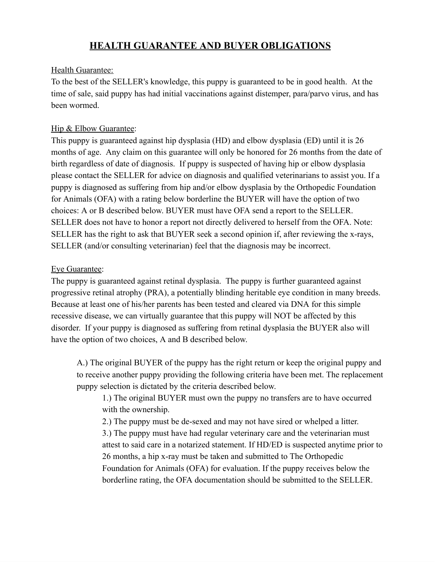# **HEALTH GUARANTEE AND BUYER OBLIGATIONS**

#### Health Guarantee:

To the best of the SELLER's knowledge, this puppy is guaranteed to be in good health. At the time of sale, said puppy has had initial vaccinations against distemper, para/parvo virus, and has been wormed.

## Hip & Elbow Guarantee:

This puppy is guaranteed against hip dysplasia (HD) and elbow dysplasia (ED) until it is 26 months of age. Any claim on this guarantee will only be honored for 26 months from the date of birth regardless of date of diagnosis. If puppy is suspected of having hip or elbow dysplasia please contact the SELLER for advice on diagnosis and qualified veterinarians to assist you. If a puppy is diagnosed as suffering from hip and/or elbow dysplasia by the Orthopedic Foundation for Animals (OFA) with a rating below borderline the BUYER will have the option of two choices: A or B described below. BUYER must have OFA send a report to the SELLER. SELLER does not have to honor a report not directly delivered to herself from the OFA. Note: SELLER has the right to ask that BUYER seek a second opinion if, after reviewing the x-rays, SELLER (and/or consulting veterinarian) feel that the diagnosis may be incorrect.

### Eye Guarantee:

The puppy is guaranteed against retinal dysplasia. The puppy is further guaranteed against progressive retinal atrophy (PRA), a potentially blinding heritable eye condition in many breeds. Because at least one of his/her parents has been tested and cleared via DNA for this simple recessive disease, we can virtually guarantee that this puppy will NOT be affected by this disorder. If your puppy is diagnosed as suffering from retinal dysplasia the BUYER also will have the option of two choices, A and B described below.

A.) The original BUYER of the puppy has the right return or keep the original puppy and to receive another puppy providing the following criteria have been met. The replacement puppy selection is dictated by the criteria described below.

1.) The original BUYER must own the puppy no transfers are to have occurred with the ownership.

2.) The puppy must be de-sexed and may not have sired or whelped a litter.

3.) The puppy must have had regular veterinary care and the veterinarian must attest to said care in a notarized statement. If HD/ED is suspected anytime prior to 26 months, a hip x-ray must be taken and submitted to The Orthopedic Foundation for Animals (OFA) for evaluation. If the puppy receives below the borderline rating, the OFA documentation should be submitted to the SELLER.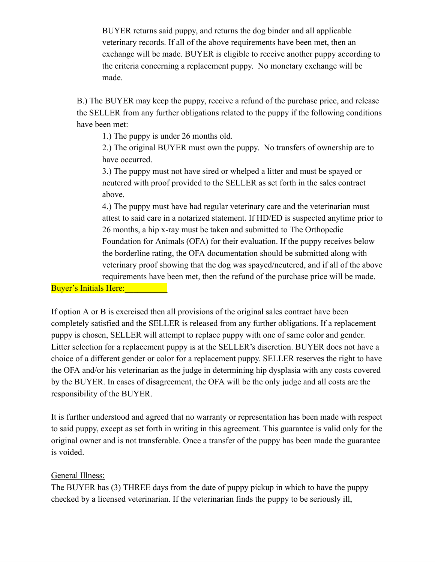BUYER returns said puppy, and returns the dog binder and all applicable veterinary records. If all of the above requirements have been met, then an exchange will be made. BUYER is eligible to receive another puppy according to the criteria concerning a replacement puppy. No monetary exchange will be made.

B.) The BUYER may keep the puppy, receive a refund of the purchase price, and release the SELLER from any further obligations related to the puppy if the following conditions have been met:

1.) The puppy is under 26 months old.

2.) The original BUYER must own the puppy. No transfers of ownership are to have occurred.

3.) The puppy must not have sired or whelped a litter and must be spayed or neutered with proof provided to the SELLER as set forth in the sales contract above.

4.) The puppy must have had regular veterinary care and the veterinarian must attest to said care in a notarized statement. If HD/ED is suspected anytime prior to 26 months, a hip x-ray must be taken and submitted to The Orthopedic Foundation for Animals (OFA) for their evaluation. If the puppy receives below the borderline rating, the OFA documentation should be submitted along with veterinary proof showing that the dog was spayed/neutered, and if all of the above requirements have been met, then the refund of the purchase price will be made.

Buyer's Initials Here:

If option A or B is exercised then all provisions of the original sales contract have been completely satisfied and the SELLER is released from any further obligations. If a replacement puppy is chosen, SELLER will attempt to replace puppy with one of same color and gender. Litter selection for a replacement puppy is at the SELLER's discretion. BUYER does not have a choice of a different gender or color for a replacement puppy. SELLER reserves the right to have the OFA and/or his veterinarian as the judge in determining hip dysplasia with any costs covered by the BUYER. In cases of disagreement, the OFA will be the only judge and all costs are the responsibility of the BUYER.

It is further understood and agreed that no warranty or representation has been made with respect to said puppy, except as set forth in writing in this agreement. This guarantee is valid only for the original owner and is not transferable. Once a transfer of the puppy has been made the guarantee is voided.

# General Illness:

The BUYER has (3) THREE days from the date of puppy pickup in which to have the puppy checked by a licensed veterinarian. If the veterinarian finds the puppy to be seriously ill,